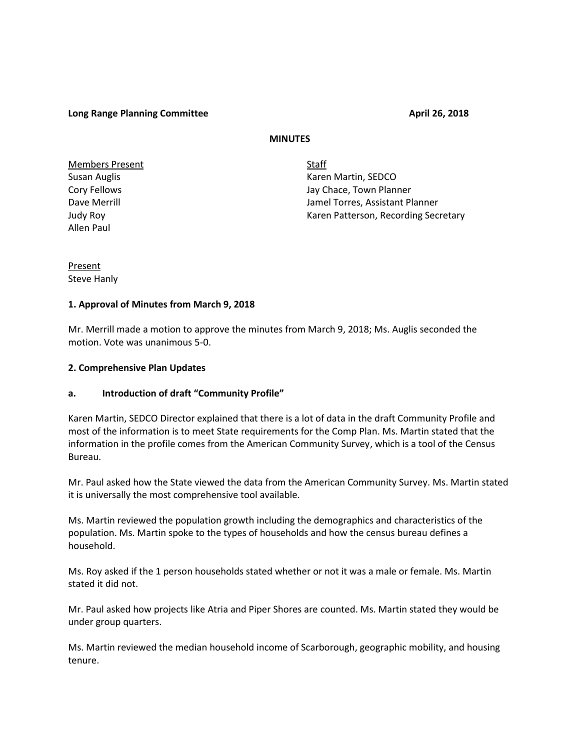**Long Range Planning Committee April 26, 2018** 

## **MINUTES**

Members Present Staff Allen Paul

Susan Auglis **Karen Martin, SEDCO Karen Martin**, SEDCO Cory Fellows Jay Chace, Town Planner Dave Merrill Jamel Torres, Assistant Planner Judy Roy **Karen Patterson, Recording Secretary** Karen Patterson, Recording Secretary

Present Steve Hanly

## **1. Approval of Minutes from March 9, 2018**

Mr. Merrill made a motion to approve the minutes from March 9, 2018; Ms. Auglis seconded the motion. Vote was unanimous 5-0.

## **2. Comprehensive Plan Updates**

# **a. Introduction of draft "Community Profile"**

Karen Martin, SEDCO Director explained that there is a lot of data in the draft Community Profile and most of the information is to meet State requirements for the Comp Plan. Ms. Martin stated that the information in the profile comes from the American Community Survey, which is a tool of the Census Bureau.

Mr. Paul asked how the State viewed the data from the American Community Survey. Ms. Martin stated it is universally the most comprehensive tool available.

Ms. Martin reviewed the population growth including the demographics and characteristics of the population. Ms. Martin spoke to the types of households and how the census bureau defines a household.

Ms. Roy asked if the 1 person households stated whether or not it was a male or female. Ms. Martin stated it did not.

Mr. Paul asked how projects like Atria and Piper Shores are counted. Ms. Martin stated they would be under group quarters.

Ms. Martin reviewed the median household income of Scarborough, geographic mobility, and housing tenure.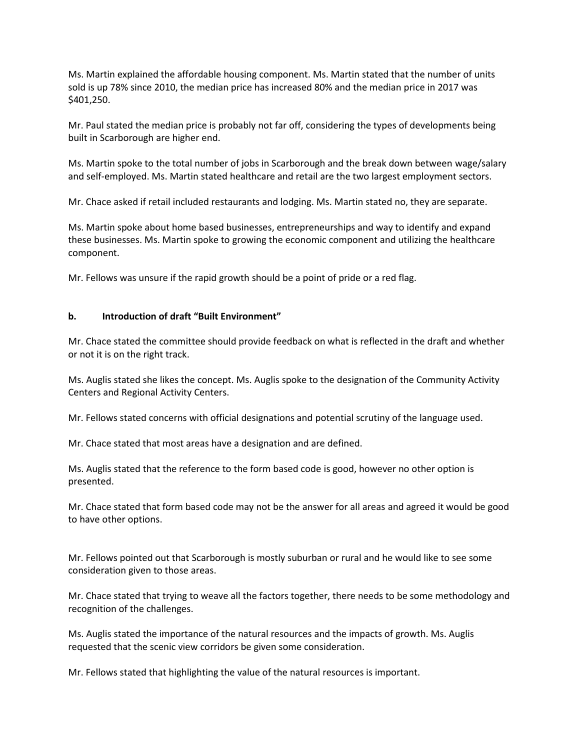Ms. Martin explained the affordable housing component. Ms. Martin stated that the number of units sold is up 78% since 2010, the median price has increased 80% and the median price in 2017 was \$401,250.

Mr. Paul stated the median price is probably not far off, considering the types of developments being built in Scarborough are higher end.

Ms. Martin spoke to the total number of jobs in Scarborough and the break down between wage/salary and self-employed. Ms. Martin stated healthcare and retail are the two largest employment sectors.

Mr. Chace asked if retail included restaurants and lodging. Ms. Martin stated no, they are separate.

Ms. Martin spoke about home based businesses, entrepreneurships and way to identify and expand these businesses. Ms. Martin spoke to growing the economic component and utilizing the healthcare component.

Mr. Fellows was unsure if the rapid growth should be a point of pride or a red flag.

## **b. Introduction of draft "Built Environment"**

Mr. Chace stated the committee should provide feedback on what is reflected in the draft and whether or not it is on the right track.

Ms. Auglis stated she likes the concept. Ms. Auglis spoke to the designation of the Community Activity Centers and Regional Activity Centers.

Mr. Fellows stated concerns with official designations and potential scrutiny of the language used.

Mr. Chace stated that most areas have a designation and are defined.

Ms. Auglis stated that the reference to the form based code is good, however no other option is presented.

Mr. Chace stated that form based code may not be the answer for all areas and agreed it would be good to have other options.

Mr. Fellows pointed out that Scarborough is mostly suburban or rural and he would like to see some consideration given to those areas.

Mr. Chace stated that trying to weave all the factors together, there needs to be some methodology and recognition of the challenges.

Ms. Auglis stated the importance of the natural resources and the impacts of growth. Ms. Auglis requested that the scenic view corridors be given some consideration.

Mr. Fellows stated that highlighting the value of the natural resources is important.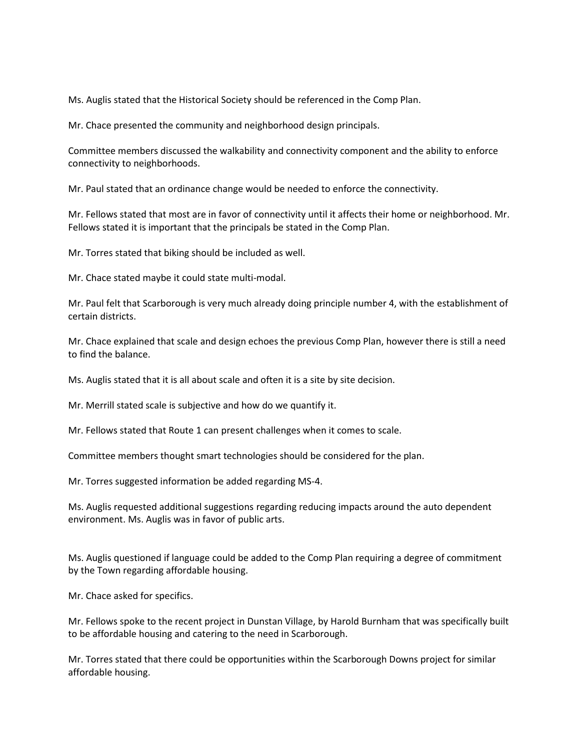Ms. Auglis stated that the Historical Society should be referenced in the Comp Plan.

Mr. Chace presented the community and neighborhood design principals.

Committee members discussed the walkability and connectivity component and the ability to enforce connectivity to neighborhoods.

Mr. Paul stated that an ordinance change would be needed to enforce the connectivity.

Mr. Fellows stated that most are in favor of connectivity until it affects their home or neighborhood. Mr. Fellows stated it is important that the principals be stated in the Comp Plan.

Mr. Torres stated that biking should be included as well.

Mr. Chace stated maybe it could state multi-modal.

Mr. Paul felt that Scarborough is very much already doing principle number 4, with the establishment of certain districts.

Mr. Chace explained that scale and design echoes the previous Comp Plan, however there is still a need to find the balance.

Ms. Auglis stated that it is all about scale and often it is a site by site decision.

Mr. Merrill stated scale is subjective and how do we quantify it.

Mr. Fellows stated that Route 1 can present challenges when it comes to scale.

Committee members thought smart technologies should be considered for the plan.

Mr. Torres suggested information be added regarding MS-4.

Ms. Auglis requested additional suggestions regarding reducing impacts around the auto dependent environment. Ms. Auglis was in favor of public arts.

Ms. Auglis questioned if language could be added to the Comp Plan requiring a degree of commitment by the Town regarding affordable housing.

Mr. Chace asked for specifics.

Mr. Fellows spoke to the recent project in Dunstan Village, by Harold Burnham that was specifically built to be affordable housing and catering to the need in Scarborough.

Mr. Torres stated that there could be opportunities within the Scarborough Downs project for similar affordable housing.